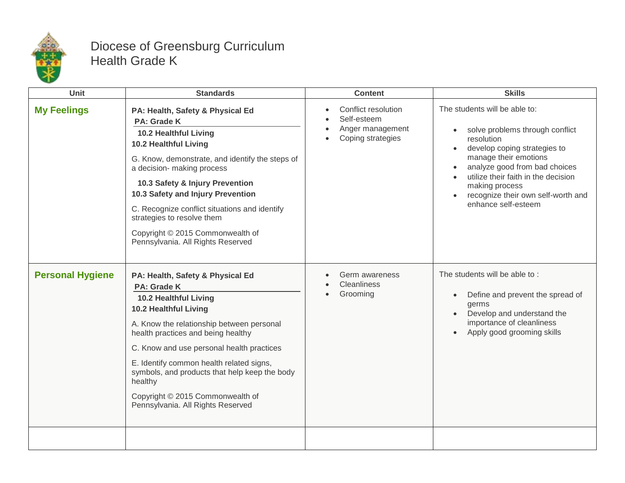

## Diocese of Greensburg Curriculum Health Grade K

| <b>Unit</b>             | <b>Standards</b>                                                                                                                                                                                                                                                                                                                                                                                                   | <b>Content</b>                                                              | <b>Skills</b>                                                                                                                                                                                                                                                                                  |
|-------------------------|--------------------------------------------------------------------------------------------------------------------------------------------------------------------------------------------------------------------------------------------------------------------------------------------------------------------------------------------------------------------------------------------------------------------|-----------------------------------------------------------------------------|------------------------------------------------------------------------------------------------------------------------------------------------------------------------------------------------------------------------------------------------------------------------------------------------|
| <b>My Feelings</b>      | PA: Health, Safety & Physical Ed<br>PA: Grade K<br>10.2 Healthful Living<br>10.2 Healthful Living<br>G. Know, demonstrate, and identify the steps of<br>a decision- making process<br>10.3 Safety & Injury Prevention<br>10.3 Safety and Injury Prevention<br>C. Recognize conflict situations and identify<br>strategies to resolve them<br>Copyright © 2015 Commonwealth of<br>Pennsylvania. All Rights Reserved | Conflict resolution<br>Self-esteem<br>Anger management<br>Coping strategies | The students will be able to:<br>solve problems through conflict<br>resolution<br>develop coping strategies to<br>manage their emotions<br>analyze good from bad choices<br>utilize their faith in the decision<br>making process<br>recognize their own self-worth and<br>enhance self-esteem |
| <b>Personal Hygiene</b> | PA: Health, Safety & Physical Ed<br>PA: Grade K<br>10.2 Healthful Living<br>10.2 Healthful Living<br>A. Know the relationship between personal<br>health practices and being healthy<br>C. Know and use personal health practices<br>E. Identify common health related signs,<br>symbols, and products that help keep the body<br>healthy<br>Copyright © 2015 Commonwealth of<br>Pennsylvania. All Rights Reserved | Germ awareness<br><b>Cleanliness</b><br>Grooming                            | The students will be able to:<br>Define and prevent the spread of<br>germs<br>Develop and understand the<br>importance of cleanliness<br>Apply good grooming skills                                                                                                                            |
|                         |                                                                                                                                                                                                                                                                                                                                                                                                                    |                                                                             |                                                                                                                                                                                                                                                                                                |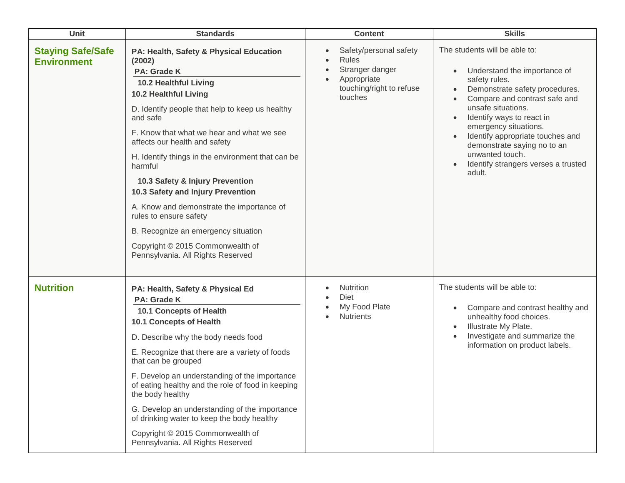| Unit                                           | <b>Standards</b>                                                                                                                                                                                                                                                                                                                                                                                                                                                                                                                                                                                      | <b>Content</b>                                                                                                  | <b>Skills</b>                                                                                                                                                                                                                                                                                                                                                        |
|------------------------------------------------|-------------------------------------------------------------------------------------------------------------------------------------------------------------------------------------------------------------------------------------------------------------------------------------------------------------------------------------------------------------------------------------------------------------------------------------------------------------------------------------------------------------------------------------------------------------------------------------------------------|-----------------------------------------------------------------------------------------------------------------|----------------------------------------------------------------------------------------------------------------------------------------------------------------------------------------------------------------------------------------------------------------------------------------------------------------------------------------------------------------------|
| <b>Staying Safe/Safe</b><br><b>Environment</b> | PA: Health, Safety & Physical Education<br>(2002)<br>PA: Grade K<br>10.2 Healthful Living<br><b>10.2 Healthful Living</b><br>D. Identify people that help to keep us healthy<br>and safe<br>F. Know that what we hear and what we see<br>affects our health and safety<br>H. Identify things in the environment that can be<br>harmful<br>10.3 Safety & Injury Prevention<br>10.3 Safety and Injury Prevention<br>A. Know and demonstrate the importance of<br>rules to ensure safety<br>B. Recognize an emergency situation<br>Copyright © 2015 Commonwealth of<br>Pennsylvania. All Rights Reserved | Safety/personal safety<br><b>Rules</b><br>Stranger danger<br>Appropriate<br>touching/right to refuse<br>touches | The students will be able to:<br>Understand the importance of<br>safety rules.<br>Demonstrate safety procedures.<br>Compare and contrast safe and<br>unsafe situations.<br>Identify ways to react in<br>emergency situations.<br>Identify appropriate touches and<br>demonstrate saying no to an<br>unwanted touch.<br>Identify strangers verses a trusted<br>adult. |
| <b>Nutrition</b>                               | PA: Health, Safety & Physical Ed<br><b>PA: Grade K</b><br>10.1 Concepts of Health<br>10.1 Concepts of Health<br>D. Describe why the body needs food<br>E. Recognize that there are a variety of foods<br>that can be grouped<br>F. Develop an understanding of the importance<br>of eating healthy and the role of food in keeping<br>the body healthy<br>G. Develop an understanding of the importance<br>of drinking water to keep the body healthy<br>Copyright © 2015 Commonwealth of<br>Pennsylvania. All Rights Reserved                                                                        | Nutrition<br><b>Diet</b><br>My Food Plate<br><b>Nutrients</b>                                                   | The students will be able to:<br>Compare and contrast healthy and<br>unhealthy food choices.<br>Illustrate My Plate.<br>Investigate and summarize the<br>information on product labels.                                                                                                                                                                              |